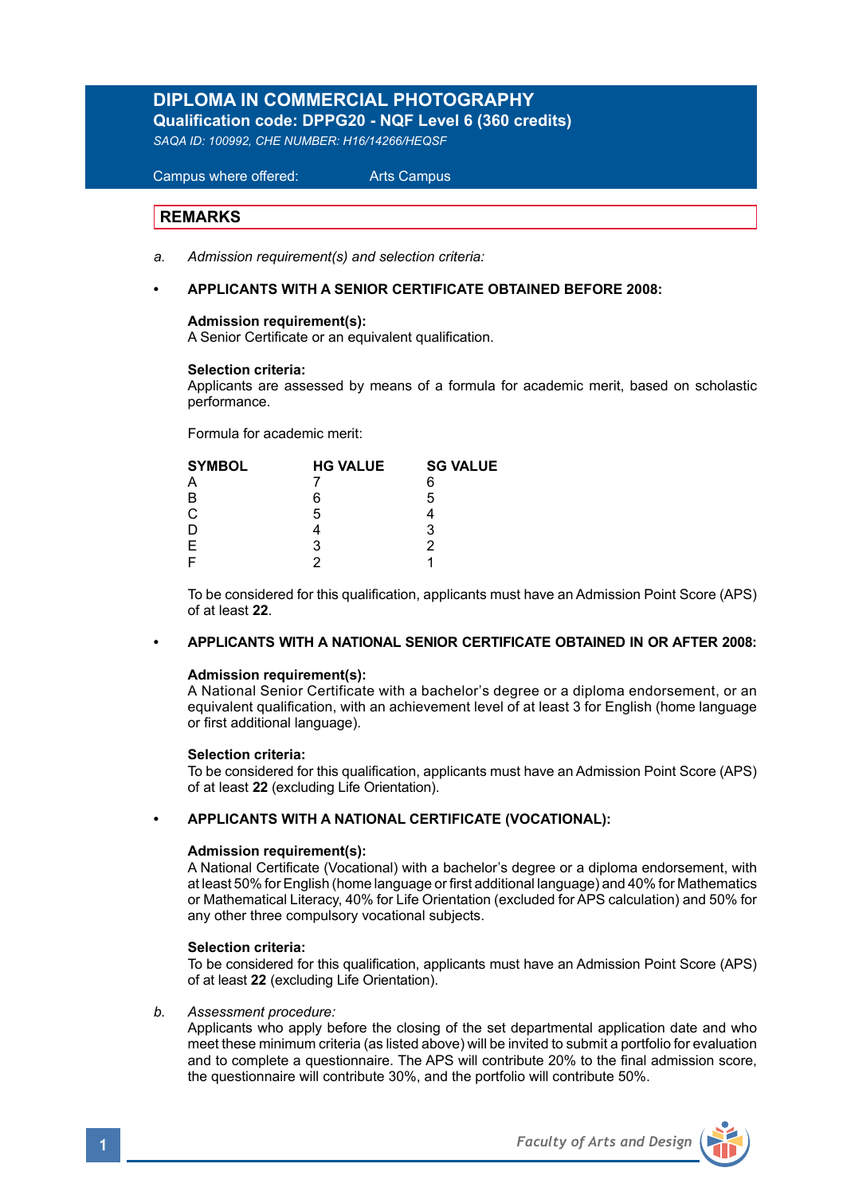# **DIPLOMA IN COMMERCIAL PHOTOGRAPHY Qualification code: DPPG20 - NQF Level 6 (360 credits)**

*SAQA ID: 100992, CHE NUMBER: H16/14266/HEQSF*

 Campus where offered: Arts Campus

# **REMARKS**

Ξ

- *a. Admission requirement(s) and selection criteria:*
- **APPLICANTS WITH A SENIOR CERTIFICATE OBTAINED BEFORE 2008:**

#### **Admission requirement(s):**

A Senior Certificate or an equivalent qualification.

#### **Selection criteria:**

Applicants are assessed by means of a formula for academic merit, based on scholastic performance.

Formula for academic merit:

| <b>SYMBOL</b>  | <b>HG VALUE</b> | <b>SG VALUE</b> |  |
|----------------|-----------------|-----------------|--|
| A              |                 | 6               |  |
| B              | 6               | 5               |  |
| $\overline{C}$ | 5               |                 |  |
| D              |                 | 3               |  |
| $\mathsf E$    |                 |                 |  |
|                |                 |                 |  |

 To be considered for this qualification, applicants must have an Admission Point Score (APS) of at least **22**.

## **• APPLICANTS WITH A NATIONAL SENIOR CERTIFICATE OBTAINED IN OR AFTER 2008:**

#### **Admission requirement(s):**

 A National Senior Certificate with a bachelor's degree or a diploma endorsement, or an equivalent qualification, with an achievement level of at least 3 for English (home language or first additional language).

## **Selection criteria:**

To be considered for this qualification, applicants must have an Admission Point Score (APS) of at least **22** (excluding Life Orientation).

## **• APPLICANTS WITH A NATIONAL CERTIFICATE (VOCATIONAL):**

#### **Admission requirement(s):**

 A National Certificate (Vocational) with a bachelor's degree or a diploma endorsement, with at least 50% for English (home language or first additional language) and 40% for Mathematics or Mathematical Literacy, 40% for Life Orientation (excluded for APS calculation) and 50% for any other three compulsory vocational subjects.

### **Selection criteria:**

To be considered for this qualification, applicants must have an Admission Point Score (APS) of at least **22** (excluding Life Orientation).

#### *b. Assessment procedure:*

 Applicants who apply before the closing of the set departmental application date and who meet these minimum criteria (as listed above) will be invited to submit a portfolio for evaluation and to complete a questionnaire. The APS will contribute 20% to the final admission score, the questionnaire will contribute 30%, and the portfolio will contribute 50%.

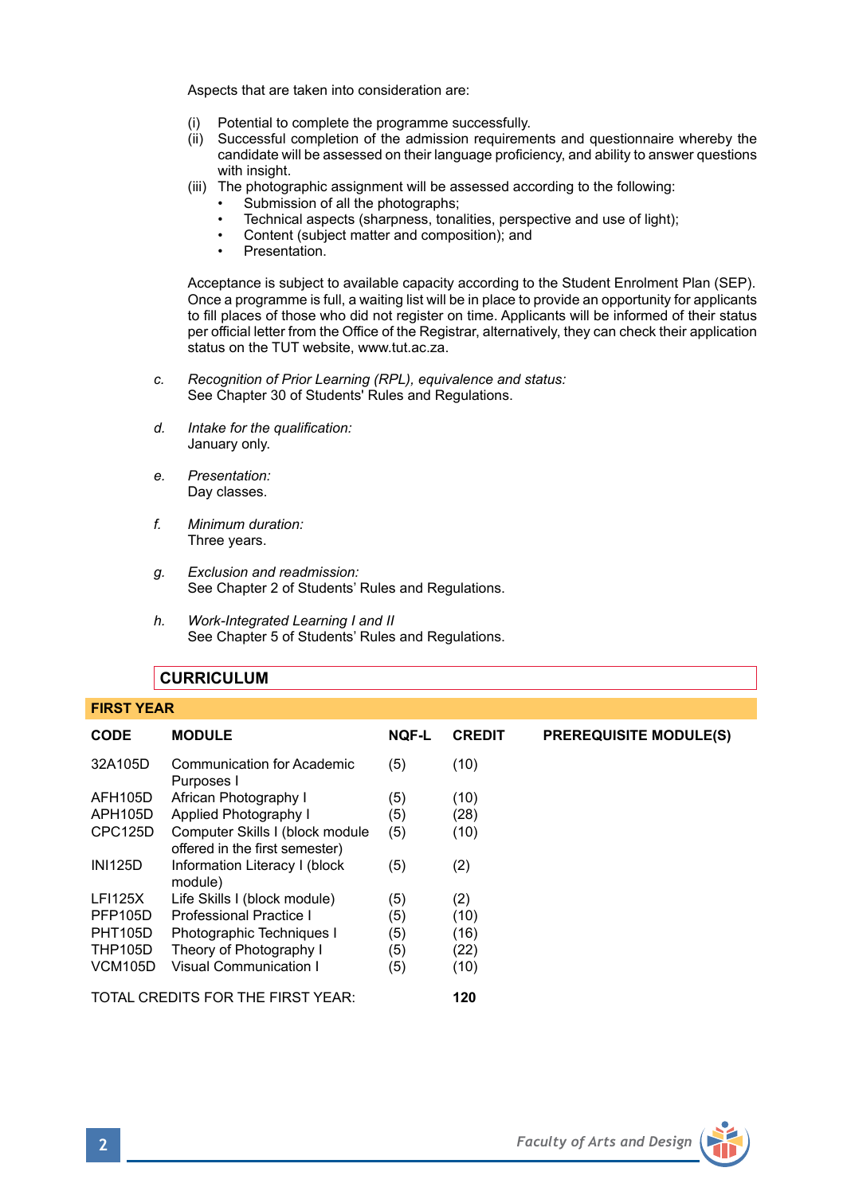Aspects that are taken into consideration are:

- (i) Potential to complete the programme successfully.
- (ii) Successful completion of the admission requirements and questionnaire whereby the candidate will be assessed on their language proficiency, and ability to answer questions with insight.
- (iii) The photographic assignment will be assessed according to the following:
	- Submission of all the photographs:
	- Technical aspects (sharpness, tonalities, perspective and use of light);
	- Content (subject matter and composition); and
	- Presentation.

 Acceptance is subject to available capacity according to the Student Enrolment Plan (SEP). Once a programme is full, a waiting list will be in place to provide an opportunity for applicants to fill places of those who did not register on time. Applicants will be informed of their status per official letter from the Office of the Registrar, alternatively, they can check their application status on the TUT website, www.tut.ac.za.

- *c. Recognition of Prior Learning (RPL), equivalence and status:* See Chapter 30 of Students' Rules and Regulations.
- *d. Intake for the qualification:* January only.
- *e. Presentation:* Day classes.
- *f. Minimum duration:* Three years.
- *g. Exclusion and readmission:* See Chapter 2 of Students' Rules and Regulations.
- *h. Work-Integrated Learning I and II*  See Chapter 5 of Students' Rules and Regulations.

# **CURRICULUM**

#### **FIRST YEAR**

| <b>CODE</b>    | <b>MODULE</b>                                                     | <b>NOF-L</b> | <b>CREDIT</b> | <b>PREREQUISITE MODULE(S)</b> |
|----------------|-------------------------------------------------------------------|--------------|---------------|-------------------------------|
| 32A105D        | Communication for Academic<br>Purposes I                          | (5)          | (10)          |                               |
| AFH105D        | African Photography I                                             | (5)          | (10)          |                               |
| APH105D        | Applied Photography I                                             | (5)          | (28)          |                               |
| CPC125D        | Computer Skills I (block module<br>offered in the first semester) | (5)          | (10)          |                               |
| <b>INI125D</b> | Information Literacy I (block<br>module)                          | (5)          | (2)           |                               |
| <b>LFI125X</b> | Life Skills I (block module)                                      | (5)          | (2)           |                               |
| <b>PFP105D</b> | Professional Practice I                                           | (5)          | (10)          |                               |
| <b>PHT105D</b> | Photographic Techniques I                                         | (5)          | (16)          |                               |
| <b>THP105D</b> | Theory of Photography I                                           | (5)          | (22)          |                               |
| <b>VCM105D</b> | Visual Communication I                                            | (5)          | (10)          |                               |
|                | TOTAL CREDITS FOR THE FIRST YEAR:                                 |              | 120           |                               |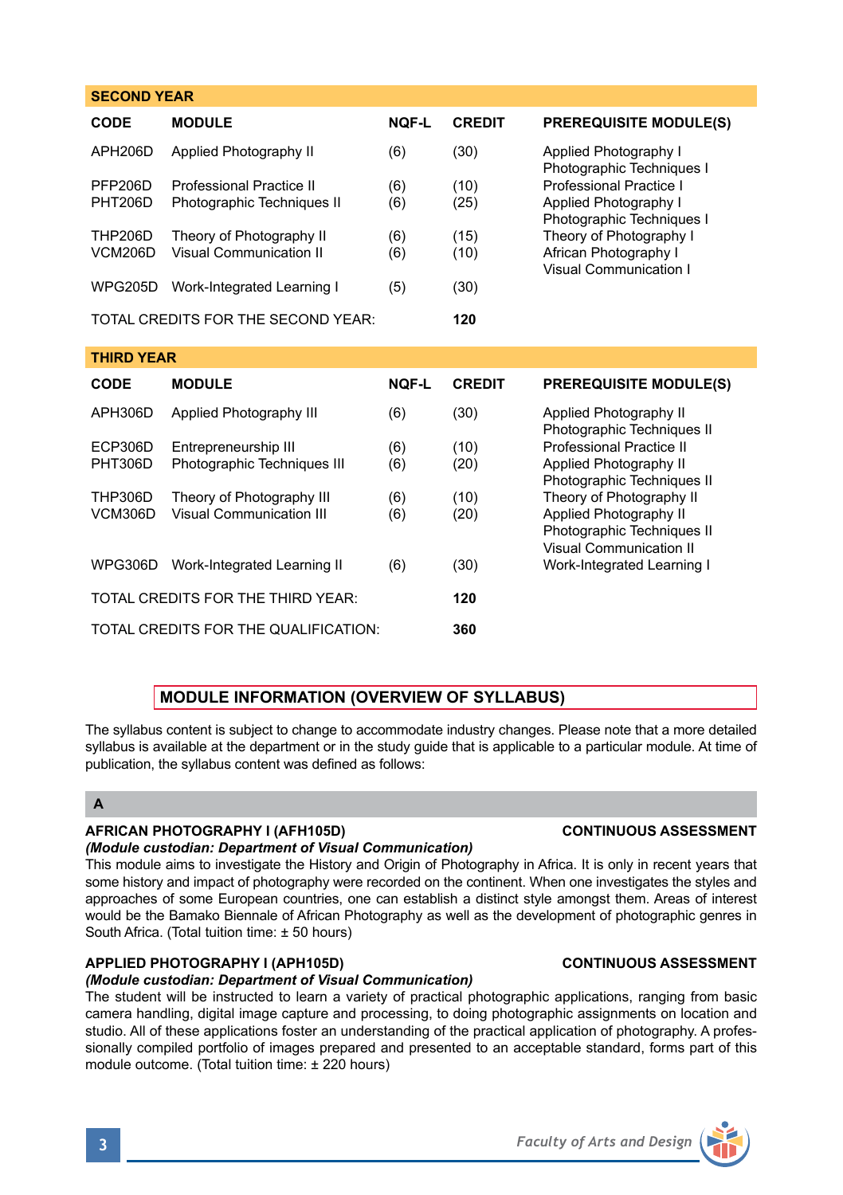| <b>SECOND YEAR</b>               |                                                        |            |               |                                                                                                                                                             |  |
|----------------------------------|--------------------------------------------------------|------------|---------------|-------------------------------------------------------------------------------------------------------------------------------------------------------------|--|
| CODE                             | <b>MODULE</b>                                          | NOF-L      | <b>CREDIT</b> | <b>PREREQUISITE MODULE(S)</b>                                                                                                                               |  |
| APH206D                          | Applied Photography II                                 | (6)        | (30)          | Applied Photography I<br>Photographic Techniques I                                                                                                          |  |
| PFP206D<br><b>PHT206D</b>        | Professional Practice II<br>Photographic Techniques II | (6)<br>(6) | (10)<br>(25)  | Professional Practice I<br>Applied Photography I<br>Photographic Techniques I<br>Theory of Photography I<br>African Photography I<br>Visual Communication I |  |
| <b>THP206D</b><br><b>VCM206D</b> | Theory of Photography II<br>Visual Communication II    | (6)<br>(6) | (15)<br>(10)  |                                                                                                                                                             |  |
| <b>WPG205D</b>                   | Work-Integrated Learning I                             | (5)        | (30)          |                                                                                                                                                             |  |
|                                  | TOTAL CREDITS FOR THE SECOND YEAR:                     |            | 120           |                                                                                                                                                             |  |
|                                  |                                                        |            |               |                                                                                                                                                             |  |
| <b>THIRD YEAR</b>                |                                                        |            |               |                                                                                                                                                             |  |
| CODE                             | <b>MODULE</b>                                          | NOF-L      | <b>CREDIT</b> | <b>PREREQUISITE MODULE(S)</b>                                                                                                                               |  |
| APH306D                          | Applied Photography III                                | (6)        | (30)          | Applied Photography II                                                                                                                                      |  |
| ECP306D                          | Entrepreneurship III                                   | (6)        | (10)          | Photographic Techniques II<br>Professional Practice II                                                                                                      |  |
| <b>PHT306D</b>                   | Photographic Techniques III                            | (6)        | (20)          | Applied Photography II<br>Photographic Techniques II                                                                                                        |  |
| <b>THP306D</b>                   | Theory of Photography III                              | (6)        | (10)          | Theory of Photography II                                                                                                                                    |  |
| <b>VCM306D</b>                   | <b>Visual Communication III</b>                        | (6)        | (20)          | Applied Photography II<br>Photographic Techniques II<br>Visual Communication II                                                                             |  |
| WPG306D                          | Work-Integrated Learning II                            | (6)        | (30)          | Work-Integrated Learning I                                                                                                                                  |  |

# TOTAL CREDITS FOR THE QUALIFICATION: **360**

# **MODULE INFORMATION (OVERVIEW OF SYLLABUS)**

The syllabus content is subject to change to accommodate industry changes. Please note that a more detailed syllabus is available at the department or in the study guide that is applicable to a particular module. At time of publication, the syllabus content was defined as follows:

# **A**

## **AFRICAN PHOTOGRAPHY I (AFH105D) CONTINUOUS ASSESSMENT**

## *(Module custodian: Department of Visual Communication)*

This module aims to investigate the History and Origin of Photography in Africa. It is only in recent years that some history and impact of photography were recorded on the continent. When one investigates the styles and approaches of some European countries, one can establish a distinct style amongst them. Areas of interest would be the Bamako Biennale of African Photography as well as the development of photographic genres in South Africa. (Total tuition time: ± 50 hours)

# **APPLIED PHOTOGRAPHY I (APH105D) CONTINUOUS ASSESSMENT**

# *(Module custodian: Department of Visual Communication)*

The student will be instructed to learn a variety of practical photographic applications, ranging from basic camera handling, digital image capture and processing, to doing photographic assignments on location and studio. All of these applications foster an understanding of the practical application of photography. A professionally compiled portfolio of images prepared and presented to an acceptable standard, forms part of this module outcome. (Total tuition time: ± 220 hours)

# **3** *Faculty of Arts and Design*

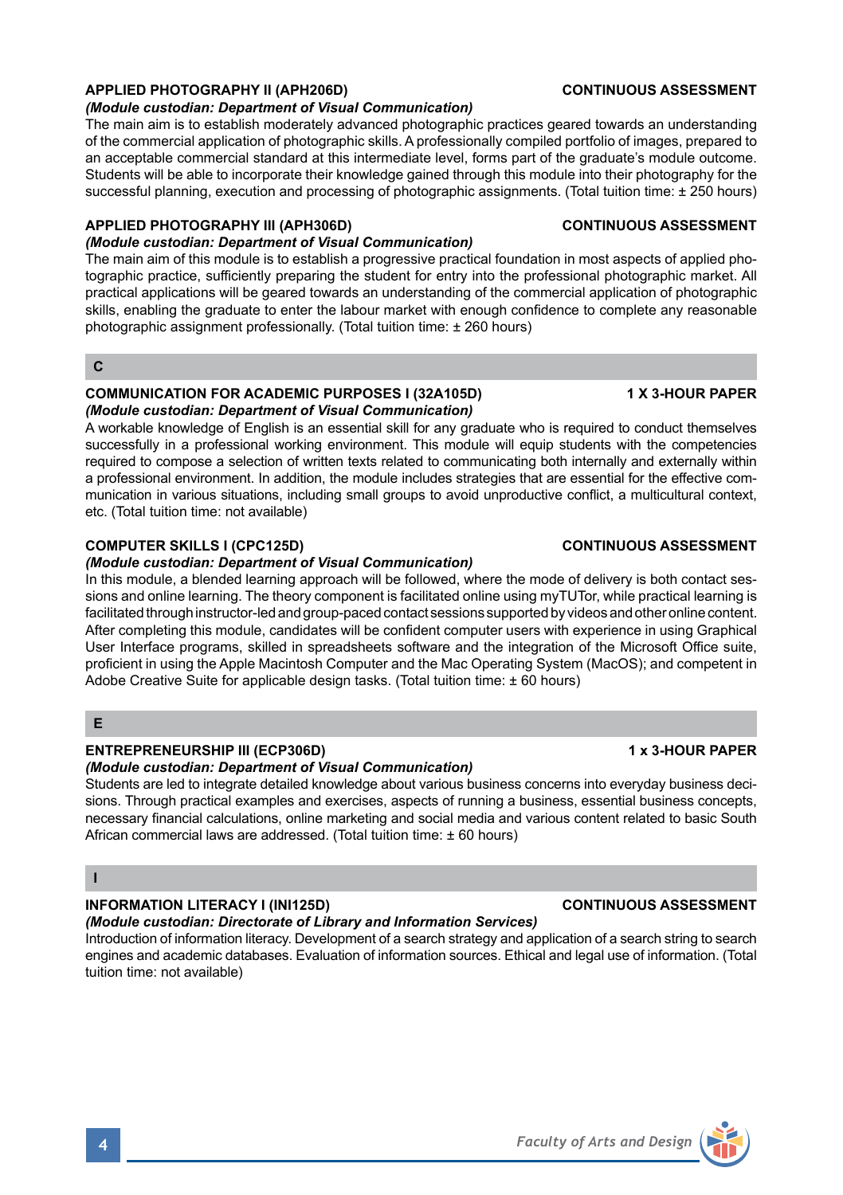# **APPLIED PHOTOGRAPHY II (APH206D) CONTINUOUS ASSESSMENT**

#### *(Module custodian: Department of Visual Communication)*

The main aim is to establish moderately advanced photographic practices geared towards an understanding of the commercial application of photographic skills. A professionally compiled portfolio of images, prepared to an acceptable commercial standard at this intermediate level, forms part of the graduate's module outcome. Students will be able to incorporate their knowledge gained through this module into their photography for the successful planning, execution and processing of photographic assignments. (Total tuition time: ± 250 hours)

### **APPLIED PHOTOGRAPHY III (APH306D) CONTINUOUS ASSESSMENT**

#### *(Module custodian: Department of Visual Communication)*

The main aim of this module is to establish a progressive practical foundation in most aspects of applied photographic practice, sufficiently preparing the student for entry into the professional photographic market. All practical applications will be geared towards an understanding of the commercial application of photographic skills, enabling the graduate to enter the labour market with enough confidence to complete any reasonable photographic assignment professionally. (Total tuition time: ± 260 hours)

### **C**

#### **COMMUNICATION FOR ACADEMIC PURPOSES I (32A105D) 1 X 3-HOUR PAPER** *(Module custodian: Department of Visual Communication)*

A workable knowledge of English is an essential skill for any graduate who is required to conduct themselves successfully in a professional working environment. This module will equip students with the competencies required to compose a selection of written texts related to communicating both internally and externally within a professional environment. In addition, the module includes strategies that are essential for the effective communication in various situations, including small groups to avoid unproductive conflict, a multicultural context, etc. (Total tuition time: not available)

#### **COMPUTER SKILLS I (CPC125D) CONTINUOUS ASSESSMENT**

#### *(Module custodian: Department of Visual Communication)*

In this module, a blended learning approach will be followed, where the mode of delivery is both contact sessions and online learning. The theory component is facilitated online using myTUTor, while practical learning is facilitated through instructor-led and group-paced contact sessions supported by videos and other online content. After completing this module, candidates will be confident computer users with experience in using Graphical User Interface programs, skilled in spreadsheets software and the integration of the Microsoft Office suite, proficient in using the Apple Macintosh Computer and the Mac Operating System (MacOS); and competent in Adobe Creative Suite for applicable design tasks. (Total tuition time: ± 60 hours)

# **E**

## **ENTREPRENEURSHIP III (ECP306D)** 1 x 3-HOUR PAPER

*(Module custodian: Department of Visual Communication)*

Students are led to integrate detailed knowledge about various business concerns into everyday business decisions. Through practical examples and exercises, aspects of running a business, essential business concepts, necessary financial calculations, online marketing and social media and various content related to basic South African commercial laws are addressed. (Total tuition time: ± 60 hours)

# **I**

# **INFORMATION LITERACY I (INI125D) CONTINUOUS ASSESSMENT**

## *(Module custodian: Directorate of Library and Information Services)*

Introduction of information literacy. Development of a search strategy and application of a search string to search engines and academic databases. Evaluation of information sources. Ethical and legal use of information. (Total tuition time: not available)

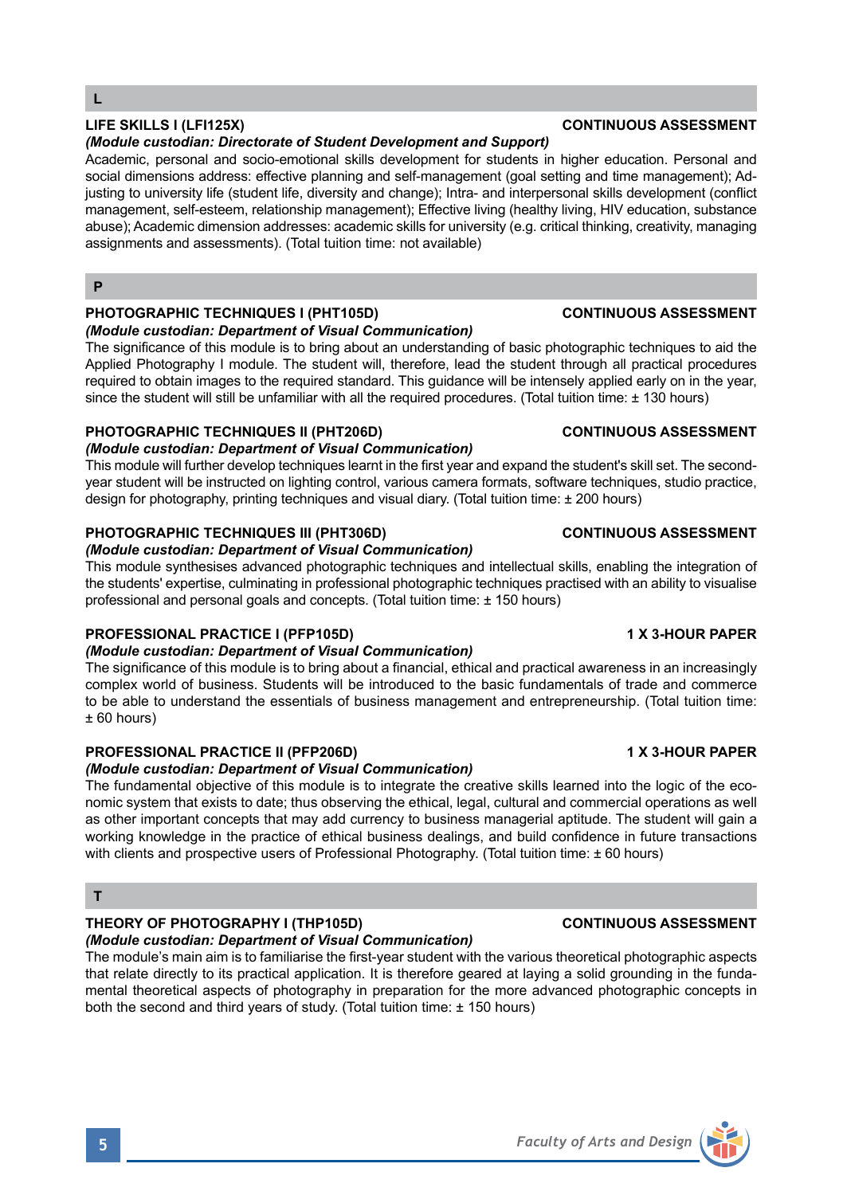## *(Module custodian: Directorate of Student Development and Support)*

Academic, personal and socio-emotional skills development for students in higher education. Personal and social dimensions address: effective planning and self-management (goal setting and time management); Adjusting to university life (student life, diversity and change); Intra- and interpersonal skills development (conflict management, self-esteem, relationship management); Effective living (healthy living, HIV education, substance abuse); Academic dimension addresses: academic skills for university (e.g. critical thinking, creativity, managing assignments and assessments). (Total tuition time: not available)

### **P**

## **PHOTOGRAPHIC TECHNIQUES I (PHT105D) CONTINUOUS ASSESSMENT**

#### *(Module custodian: Department of Visual Communication)*

The significance of this module is to bring about an understanding of basic photographic techniques to aid the Applied Photography I module. The student will, therefore, lead the student through all practical procedures required to obtain images to the required standard. This guidance will be intensely applied early on in the year, since the student will still be unfamiliar with all the required procedures. (Total tuition time: ± 130 hours)

## **PHOTOGRAPHIC TECHNIQUES II (PHT206D) CONTINUOUS ASSESSMENT**

# *(Module custodian: Department of Visual Communication)*

This module will further develop techniques learnt in the first year and expand the student's skill set. The secondyear student will be instructed on lighting control, various camera formats, software techniques, studio practice, design for photography, printing techniques and visual diary. (Total tuition time: ± 200 hours)

## **PHOTOGRAPHIC TECHNIQUES III (PHT306D) CONTINUOUS ASSESSMENT**

## *(Module custodian: Department of Visual Communication)*

This module synthesises advanced photographic techniques and intellectual skills, enabling the integration of the students' expertise, culminating in professional photographic techniques practised with an ability to visualise professional and personal goals and concepts. (Total tuition time: ± 150 hours)

## **PROFESSIONAL PRACTICE I (PFP105D) 1 X 3-HOUR PAPER**

## *(Module custodian: Department of Visual Communication)*

The significance of this module is to bring about a financial, ethical and practical awareness in an increasingly complex world of business. Students will be introduced to the basic fundamentals of trade and commerce to be able to understand the essentials of business management and entrepreneurship. (Total tuition time: ± 60 hours)

# **PROFESSIONAL PRACTICE II (PFP206D) 1 X 3-HOUR PAPER**

*(Module custodian: Department of Visual Communication)*

The fundamental objective of this module is to integrate the creative skills learned into the logic of the economic system that exists to date; thus observing the ethical, legal, cultural and commercial operations as well as other important concepts that may add currency to business managerial aptitude. The student will gain a working knowledge in the practice of ethical business dealings, and build confidence in future transactions with clients and prospective users of Professional Photography. (Total tuition time: ± 60 hours)

# **T**

# **THEORY OF PHOTOGRAPHY I (THP105D) CONTINUOUS ASSESSMENT**

# *(Module custodian: Department of Visual Communication)*

The module's main aim is to familiarise the first-year student with the various theoretical photographic aspects that relate directly to its practical application. It is therefore geared at laying a solid grounding in the fundamental theoretical aspects of photography in preparation for the more advanced photographic concepts in both the second and third years of study. (Total tuition time: ± 150 hours)



# **LIFE SKILLS I (LFI125X) CONTINUOUS ASSESSMENT**